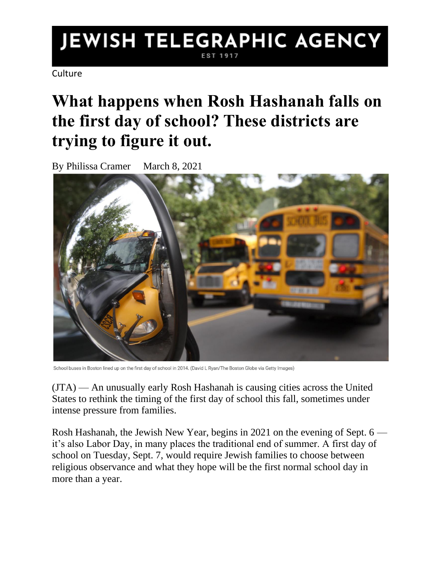## JEWISH TELEGRAPHIC AGENCY EST 1917

**Culture** 

## **What happens when Rosh Hashanah falls on the first day of school? These districts are trying to figure it out.**

By Philissa Cramer March 8, 2021



School buses in Boston lined up on the first day of school in 2014. (David L Ryan/The Boston Globe via Getty Images)

(JTA) — An unusually early Rosh Hashanah is causing cities across the United States to rethink the timing of the first day of school this fall, sometimes under intense pressure from families.

Rosh Hashanah, the Jewish New Year, begins in 2021 on the evening of Sept. 6 it's also Labor Day, in many places the traditional end of summer. A first day of school on Tuesday, Sept. 7, would require Jewish families to choose between religious observance and what they hope will be the first normal school day in more than a year.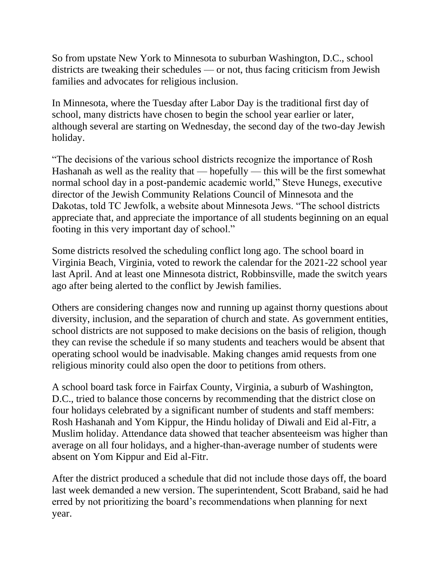So from upstate New York to Minnesota to suburban Washington, D.C., school districts are tweaking their schedules — or not, thus facing criticism from Jewish families and advocates for religious inclusion.

In Minnesota, where the Tuesday after Labor Day is the traditional first day of school, many districts have chosen to begin the school year earlier or later, although several are starting on Wednesday, the second day of the two-day Jewish holiday.

"The decisions of the various school districts recognize the importance of Rosh Hashanah as well as the reality that — hopefully — this will be the first somewhat normal school day in a post-pandemic academic world," Steve Hunegs, executive director of the Jewish Community Relations Council of Minnesota and the Dakotas, told TC Jewfolk, a website about Minnesota Jews. "The school districts appreciate that, and appreciate the importance of all students beginning on an equal footing in this very important day of school."

Some districts resolved the scheduling conflict long ago. The school board in Virginia Beach, Virginia, voted to rework the calendar for the 2021-22 school year last April. And at least one Minnesota district, Robbinsville, made the switch years ago after being alerted to the conflict by Jewish families.

Others are considering changes now and running up against thorny questions about diversity, inclusion, and the separation of church and state. As government entities, school districts are not supposed to make decisions on the basis of religion, though they can revise the schedule if so many students and teachers would be absent that operating school would be inadvisable. Making changes amid requests from one religious minority could also open the door to petitions from others.

A school board task force in Fairfax County, Virginia, a suburb of Washington, D.C., tried to balance those concerns by recommending that the district close on four holidays celebrated by a significant number of students and staff members: Rosh Hashanah and Yom Kippur, the Hindu holiday of Diwali and Eid al-Fitr, a Muslim holiday. Attendance data showed that teacher absenteeism was higher than average on all four holidays, and a higher-than-average number of students were absent on Yom Kippur and Eid al-Fitr.

After the district produced a schedule that did not include those days off, the board last week demanded a new version. The superintendent, Scott Braband, said he had erred by not prioritizing the board's recommendations when planning for next year.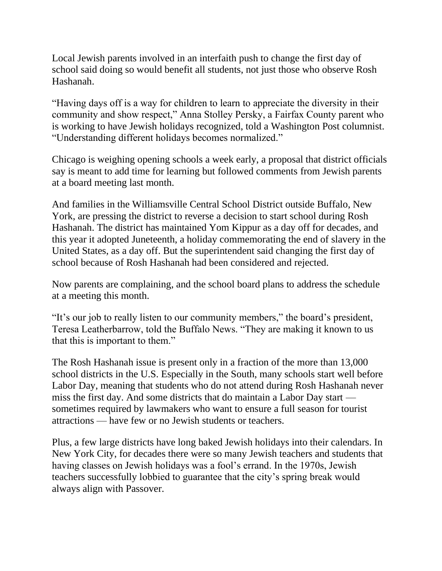Local Jewish parents involved in an interfaith push to change the first day of school said doing so would benefit all students, not just those who observe Rosh Hashanah.

"Having days off is a way for children to learn to appreciate the diversity in their community and show respect," Anna Stolley Persky, a Fairfax County parent who is working to have Jewish holidays recognized, told a Washington Post columnist. "Understanding different holidays becomes normalized."

Chicago is weighing opening schools a week early, a proposal that district officials say is meant to add time for learning but followed comments from Jewish parents at a board meeting last month.

And families in the Williamsville Central School District outside Buffalo, New York, are pressing the district to reverse a decision to start school during Rosh Hashanah. The district has maintained Yom Kippur as a day off for decades, and this year it adopted Juneteenth, a holiday commemorating the end of slavery in the United States, as a day off. But the superintendent said changing the first day of school because of Rosh Hashanah had been considered and rejected.

Now parents are complaining, and the school board plans to address the schedule at a meeting this month.

"It's our job to really listen to our community members," the board's president, Teresa Leatherbarrow, told the Buffalo News. "They are making it known to us that this is important to them."

The Rosh Hashanah issue is present only in a fraction of the more than 13,000 school districts in the U.S. Especially in the South, many schools start well before Labor Day, meaning that students who do not attend during Rosh Hashanah never miss the first day. And some districts that do maintain a Labor Day start sometimes required by lawmakers who want to ensure a full season for tourist attractions — have few or no Jewish students or teachers.

Plus, a few large districts have long baked Jewish holidays into their calendars. In New York City, for decades there were so many Jewish teachers and students that having classes on Jewish holidays was a fool's errand. In the 1970s, Jewish teachers successfully lobbied to guarantee that the city's spring break would always align with Passover.